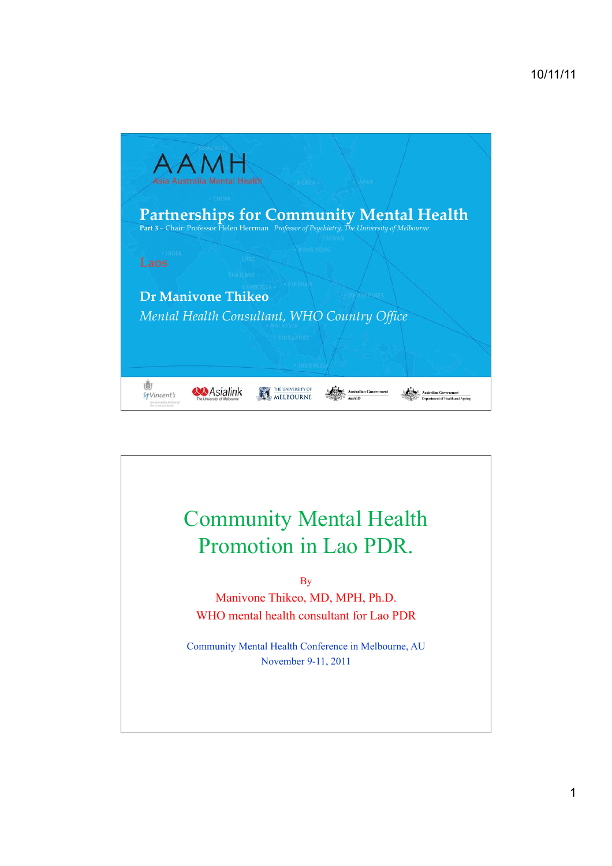

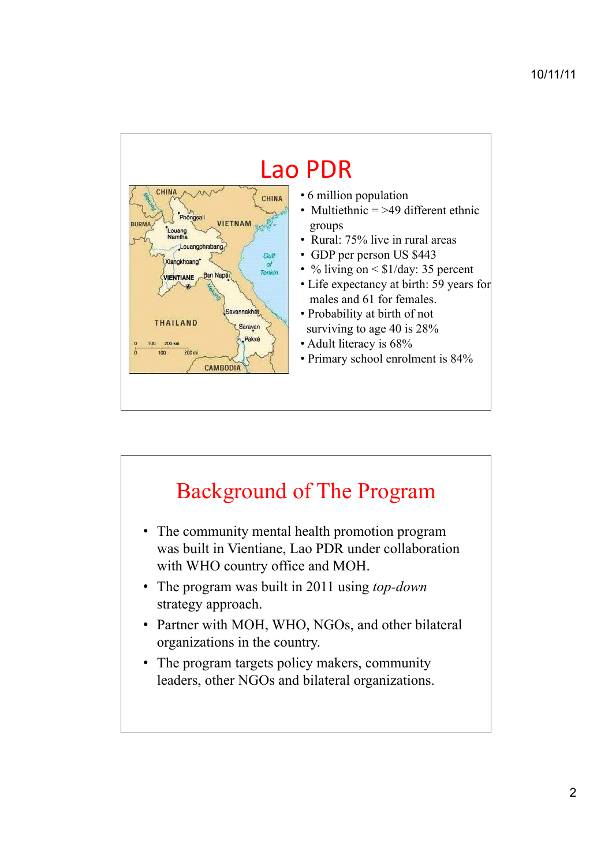

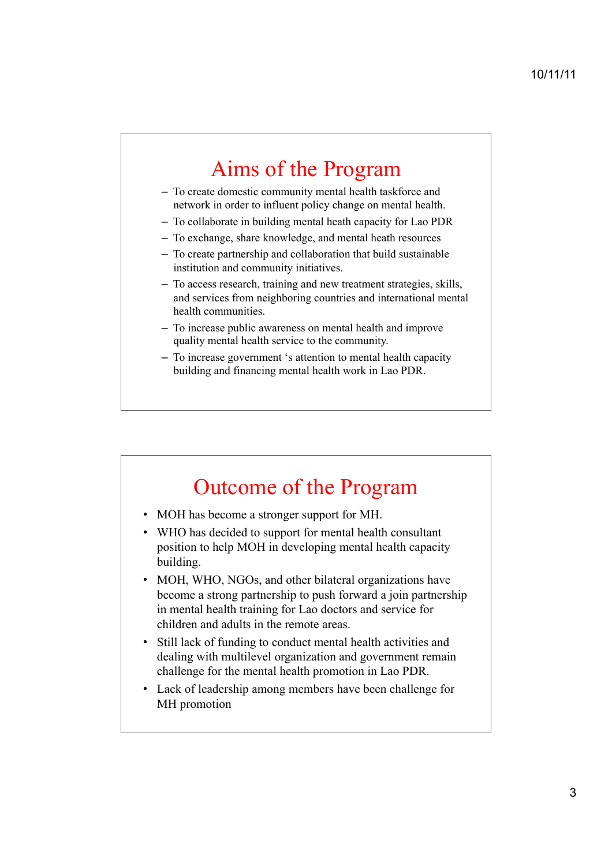## Aims of the Program

- To create domestic community mental health taskforce and network in order to influent policy change on mental health.
- To collaborate in building mental heath capacity for Lao PDR
- To exchange, share knowledge, and mental heath resources
- To create partnership and collaboration that build sustainable institution and community initiatives.
- To access research, training and new treatment strategies, skills, and services from neighboring countries and international mental health communities.
- To increase public awareness on mental health and improve quality mental health service to the community.
- To increase government 's attention to mental health capacity building and financing mental health work in Lao PDR.

## Outcome of the Program

- MOH has become a stronger support for MH.
- WHO has decided to support for mental health consultant position to help MOH in developing mental health capacity building.
- MOH, WHO, NGOs, and other bilateral organizations have become a strong partnership to push forward a join partnership in mental health training for Lao doctors and service for children and adults in the remote areas.
- Still lack of funding to conduct mental health activities and dealing with multilevel organization and government remain challenge for the mental health promotion in Lao PDR.
- Lack of leadership among members have been challenge for MH promotion